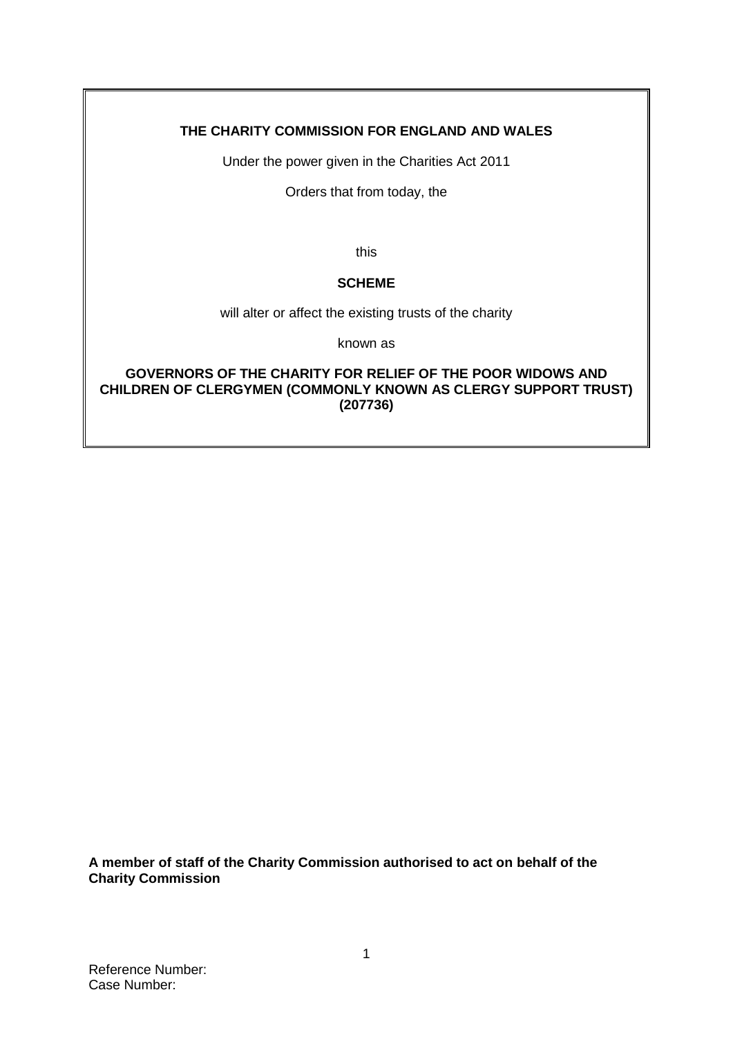## **THE CHARITY COMMISSION FOR ENGLAND AND WALES**

Under the power given in the Charities Act 2011

Orders that from today, the

this

### **SCHEME**

will alter or affect the existing trusts of the charity

known as

**GOVERNORS OF THE CHARITY FOR RELIEF OF THE POOR WIDOWS AND CHILDREN OF CLERGYMEN (COMMONLY KNOWN AS CLERGY SUPPORT TRUST) (207736)**

**A member of staff of the Charity Commission authorised to act on behalf of the Charity Commission**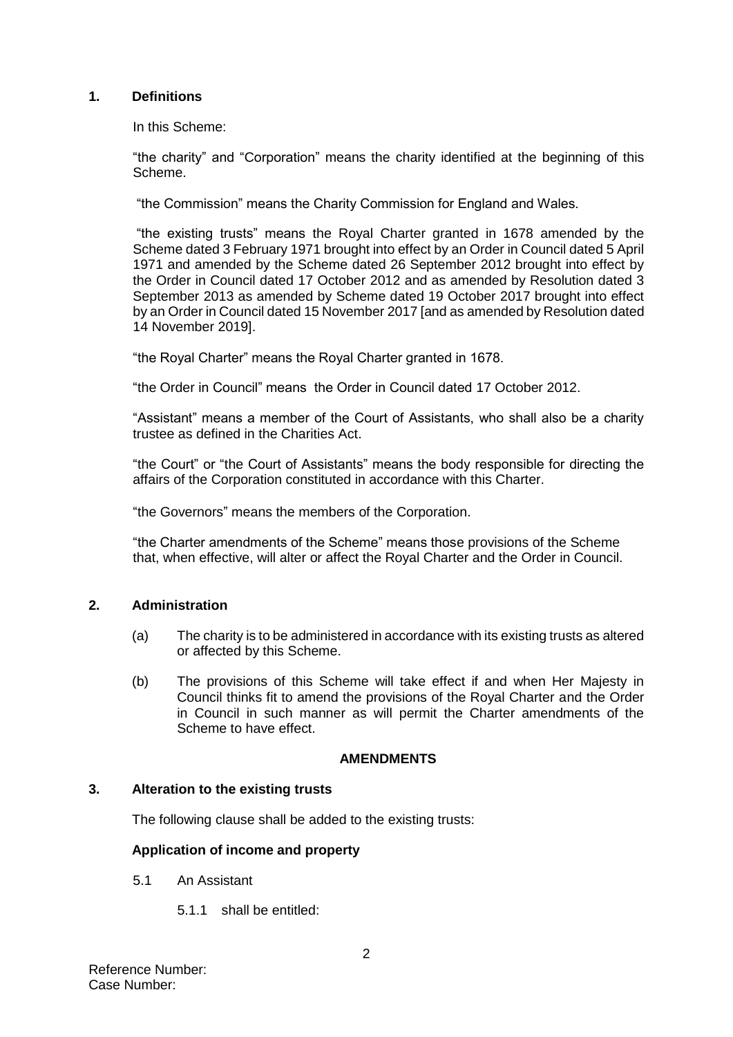#### **1. Definitions**

In this Scheme:

"the charity" and "Corporation" means the charity identified at the beginning of this Scheme.

"the Commission" means the Charity Commission for England and Wales.

"the existing trusts" means the Royal Charter granted in 1678 amended by the Scheme dated 3 February 1971 brought into effect by an Order in Council dated 5 April 1971 and amended by the Scheme dated 26 September 2012 brought into effect by the Order in Council dated 17 October 2012 and as amended by Resolution dated 3 September 2013 as amended by Scheme dated 19 October 2017 brought into effect by an Order in Council dated 15 November 2017 [and as amended by Resolution dated 14 November 2019].

"the Royal Charter" means the Royal Charter granted in 1678.

"the Order in Council" means the Order in Council dated 17 October 2012.

"Assistant" means a member of the Court of Assistants, who shall also be a charity trustee as defined in the Charities Act.

"the Court" or "the Court of Assistants" means the body responsible for directing the affairs of the Corporation constituted in accordance with this Charter.

"the Governors" means the members of the Corporation.

"the Charter amendments of the Scheme" means those provisions of the Scheme that, when effective, will alter or affect the Royal Charter and the Order in Council.

#### **2. Administration**

- (a) The charity is to be administered in accordance with its existing trusts as altered or affected by this Scheme.
- (b) The provisions of this Scheme will take effect if and when Her Majesty in Council thinks fit to amend the provisions of the Royal Charter and the Order in Council in such manner as will permit the Charter amendments of the Scheme to have effect.

#### **AMENDMENTS**

### **3. Alteration to the existing trusts**

The following clause shall be added to the existing trusts:

#### **Application of income and property**

- 5.1 An Assistant
	- 5.1.1 shall be entitled: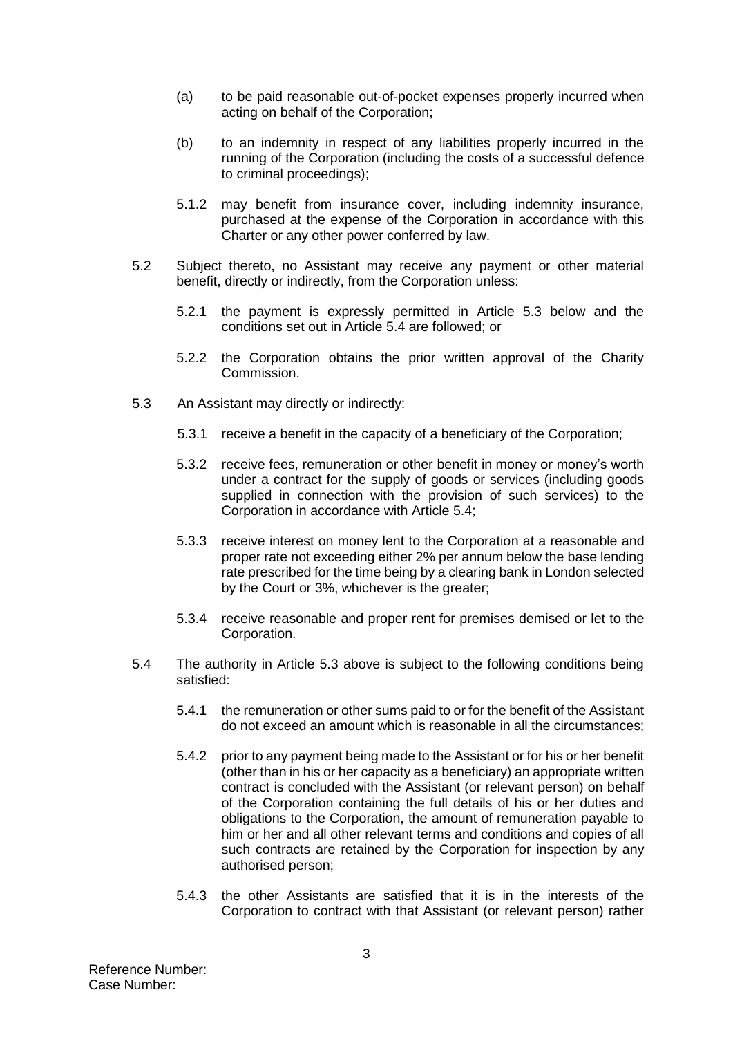- (a) to be paid reasonable out-of-pocket expenses properly incurred when acting on behalf of the Corporation;
- (b) to an indemnity in respect of any liabilities properly incurred in the running of the Corporation (including the costs of a successful defence to criminal proceedings);
- 5.1.2 may benefit from insurance cover, including indemnity insurance, purchased at the expense of the Corporation in accordance with this Charter or any other power conferred by law.
- 5.2 Subject thereto, no Assistant may receive any payment or other material benefit, directly or indirectly, from the Corporation unless:
	- 5.2.1 the payment is expressly permitted in Article 5.3 below and the conditions set out in Article 5.4 are followed; or
	- 5.2.2 the Corporation obtains the prior written approval of the Charity Commission.
- 5.3 An Assistant may directly or indirectly:
	- 5.3.1 receive a benefit in the capacity of a beneficiary of the Corporation;
	- 5.3.2 receive fees, remuneration or other benefit in money or money's worth under a contract for the supply of goods or services (including goods supplied in connection with the provision of such services) to the Corporation in accordance with Article 5.4;
	- 5.3.3 receive interest on money lent to the Corporation at a reasonable and proper rate not exceeding either 2% per annum below the base lending rate prescribed for the time being by a clearing bank in London selected by the Court or 3%, whichever is the greater;
	- 5.3.4 receive reasonable and proper rent for premises demised or let to the Corporation.
- 5.4 The authority in Article 5.3 above is subject to the following conditions being satisfied:
	- 5.4.1 the remuneration or other sums paid to or for the benefit of the Assistant do not exceed an amount which is reasonable in all the circumstances;
	- 5.4.2 prior to any payment being made to the Assistant or for his or her benefit (other than in his or her capacity as a beneficiary) an appropriate written contract is concluded with the Assistant (or relevant person) on behalf of the Corporation containing the full details of his or her duties and obligations to the Corporation, the amount of remuneration payable to him or her and all other relevant terms and conditions and copies of all such contracts are retained by the Corporation for inspection by any authorised person;
	- 5.4.3 the other Assistants are satisfied that it is in the interests of the Corporation to contract with that Assistant (or relevant person) rather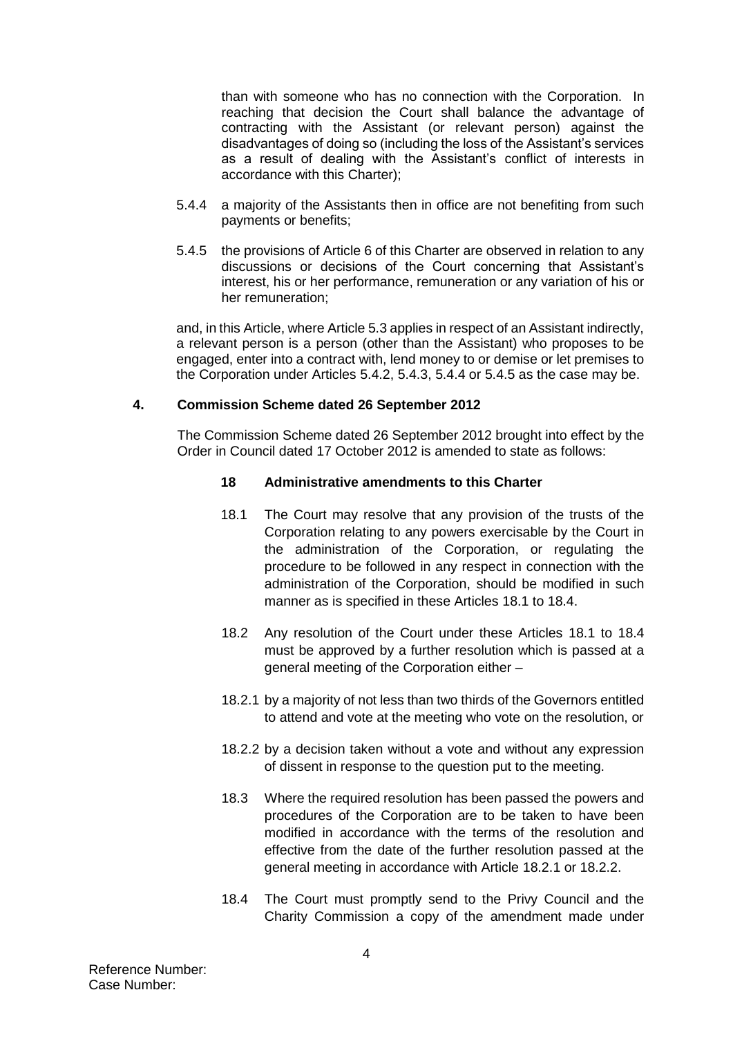than with someone who has no connection with the Corporation. In reaching that decision the Court shall balance the advantage of contracting with the Assistant (or relevant person) against the disadvantages of doing so (including the loss of the Assistant's services as a result of dealing with the Assistant's conflict of interests in accordance with this Charter);

- 5.4.4 a majority of the Assistants then in office are not benefiting from such payments or benefits;
- 5.4.5 the provisions of Article 6 of this Charter are observed in relation to any discussions or decisions of the Court concerning that Assistant's interest, his or her performance, remuneration or any variation of his or her remuneration;

and, in this Article, where Article 5.3 applies in respect of an Assistant indirectly, a relevant person is a person (other than the Assistant) who proposes to be engaged, enter into a contract with, lend money to or demise or let premises to the Corporation under Articles 5.4.2, 5.4.3, 5.4.4 or 5.4.5 as the case may be.

#### **4. Commission Scheme dated 26 September 2012**

The Commission Scheme dated 26 September 2012 brought into effect by the Order in Council dated 17 October 2012 is amended to state as follows:

#### **18 Administrative amendments to this Charter**

- 18.1 The Court may resolve that any provision of the trusts of the Corporation relating to any powers exercisable by the Court in the administration of the Corporation, or regulating the procedure to be followed in any respect in connection with the administration of the Corporation, should be modified in such manner as is specified in these Articles 18.1 to 18.4.
- 18.2 Any resolution of the Court under these Articles 18.1 to 18.4 must be approved by a further resolution which is passed at a general meeting of the Corporation either –
- 18.2.1 by a majority of not less than two thirds of the Governors entitled to attend and vote at the meeting who vote on the resolution, or
- 18.2.2 by a decision taken without a vote and without any expression of dissent in response to the question put to the meeting.
- 18.3 Where the required resolution has been passed the powers and procedures of the Corporation are to be taken to have been modified in accordance with the terms of the resolution and effective from the date of the further resolution passed at the general meeting in accordance with Article 18.2.1 or 18.2.2.
- <span id="page-3-0"></span>18.4 The Court must promptly send to the Privy Council and the Charity Commission a copy of the amendment made under